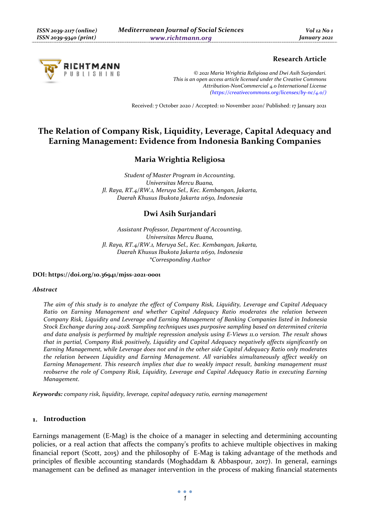

### **Research Article**

*© 2021 Maria Wrightia Religiosa and Dwi Asih Surjandari. This is an open access article licensed under the Creative Commons Attribution-NonCommercial 4.0 International License (https://creativecommons.org/licenses/by-nc/4.0/)*

Received: 7 October 2020 / Accepted: 10 November 2020/ Published: 17 January 2021

# **The Relation of Company Risk, Liquidity, Leverage, Capital Adequacy and Earning Management: Evidence from Indonesia Banking Companies**

# **Maria Wrightia Religiosa**

*Student of Master Program in Accounting, Universitas Mercu Buana, Jl. Raya, RT.4/RW.1, Meruya Sel., Kec. Kembangan, Jakarta, Daerah Khusus Ibukota Jakarta 11650, Indonesia* 

# **Dwi Asih Surjandari**

*Assistant Professor, Department of Accounting, Universitas Mercu Buana, Jl. Raya, RT.4/RW.1, Meruya Sel., Kec. Kembangan, Jakarta, Daerah Khusus Ibukota Jakarta 11650, Indonesia \*Corresponding Author* 

#### **DOI: https://doi.org/10.36941/mjss-2021-0001**

#### *Abstract*

*The aim of this study is to analyze the effect of Company Risk, Liquidity, Leverage and Capital Adequacy Ratio on Earning Management and whether Capital Adequacy Ratio moderates the relation between Company Risk, Liquidity and Leverage and Earning Management of Banking Companies listed in Indonesia Stock Exchange during 2014-2018. Sampling techniques uses purposive sampling based on determined criteria and data analysis is performed by multiple regression analysis using E-Views 11.0 version. The result shows that in partial, Company Risk positively, Liquidity and Capital Adequacy negatively affects significantly on Earning Management, while Leverage does not and in the other side Capital Adequacy Ratio only moderates the relation between Liquidity and Earning Management. All variables simultaneously affect weakly on Earning Management. This research implies that due to weakly impact result, banking management must reobserve the role of Company Risk, Liquidity, Leverage and Capital Adequacy Ratio in executing Earning Management.* 

*Keywords: company risk, liquidity, leverage, capital adequacy ratio, earning management* 

#### **Introduction**

Earnings management (E-Mag) is the choice of a manager in selecting and determining accounting policies, or a real action that affects the company's profits to achieve multiple objectives in making financial report (Scott, 2015) and the philosophy of E-Mag is taking advantage of the methods and principles of flexible accounting standards (Moghaddam & Abbaspour, 2017). In general, earnings management can be defined as manager intervention in the process of making financial statements

> $\bullet$   $\bullet$   $\bullet$ *1*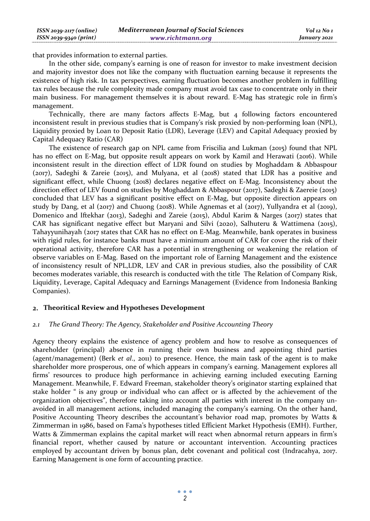| $ISSN 2039-2117 (online)$ | <b>Mediterranean Journal of Social Sciences</b> | Vol 12 No 1  |
|---------------------------|-------------------------------------------------|--------------|
| ISSN 2039-9340 (print)    | www.richtmann.org                               | January 2021 |

that provides information to external parties.

In the other side, company's earning is one of reason for investor to make investment decision and majority investor does not like the company with fluctuation earning because it represents the existence of high risk. In tax perspectives, earning fluctuation becomes another problem in fulfilling tax rules because the rule complexity made company must avoid tax case to concentrate only in their main business. For management themselves it is about reward. E-Mag has strategic role in firm's management.

Technically, there are many factors affects E-Mag, but 4 following factors encountered inconsistent result in previous studies that is Company's risk proxied by non-performing loan (NPL), Liquidity proxied by Loan to Deposit Ratio (LDR), Leverage (LEV) and Capital Adequacy proxied by Capital Adequacy Ratio (CAR)

The existence of research gap on NPL came from Friscilia and Lukman (2015) found that NPL has no effect on E-Mag, but opposite result appears on work by Kamil and Herawati (2016). While inconsistent result in the direction effect of LDR found on studies by Moghaddam & Abbaspour (2017), Sadeghi & Zareie (2015), and Mulyana, et al (2018) stated that LDR has a positive and significant effect, while Chuong (2018) declares negative effect on E-Mag. Inconsistency about the direction effect of LEV found on studies by Moghaddam & Abbaspour (2017), Sadeghi & Zaereie (2015) concluded that LEV has a significant positive effect on E-Mag, but opposite direction appears on study by Dang, et al (2017) and Chuong (2018). While Agnemas et al (2017), Yullyandra et al (2019), Domenico and Iftekhar (2013), Sadeghi and Zareie (2015), Abdul Karim & Narges (2017) states that CAR has significant negative effect but Maryani and Silvi (2020), Salhuteru & Wattimena (2015), Tahayyunihayah (2017 states that CAR has no effect on E-Mag. Meanwhile, bank operates in business with rigid rules, for instance banks must have a minimum amount of CAR for cover the risk of their operational activity, therefore CAR has a potential in strengthening or weakening the relation of observe variables on E-Mag. Based on the important role of Earning Management and the existence of inconsistency result of NPL,LDR, LEV and CAR in previous studies, also the possibility of CAR becomes moderates variable, this research is conducted with the title The Relation of Company Risk, Liquidity, Leverage, Capital Adequacy and Earnings Management (Evidence from Indonesia Banking Companies).

### **Theoritical Review and Hypotheses Development**

#### *2.1 The Grand Theory: The Agency, Stakeholder and Positive Accounting Theory*

Agency theory explains the existence of agency problem and how to resolve as consequences of shareholder (principal) absence in running their own business and appointing third parties (agent/management) (Berk *et al*., 2011) to presence. Hence, the main task of the agent is to make shareholder more prosperous, one of which appears in company's earning. Management explores all firms' resources to produce high performance in achieving earning included executing Earning Management. Meanwhile, F. Edward Freeman, stakeholder theory's originator starting explained that stake holder " is any group or individual who can affect or is affected by the achievement of the organization objectives", therefore taking into account all parties with interest in the company unavoided in all management actions, included managing the company's earning. On the other hand, Positive Accounting Theory describes the accountant's behavior road map, promotes by Watts & Zimmerman in 1986, based on Fama's hypotheses titled Efficient Market Hypothesis (EMH). Further, Watts & Zimmerman explains the capital market will react when abnormal return appears in firm's financial report, whether caused by nature or accountant intervention. Accounting practices employed by accountant driven by bonus plan, debt covenant and political cost (Indracahya, 2017. Earning Management is one form of accounting practice.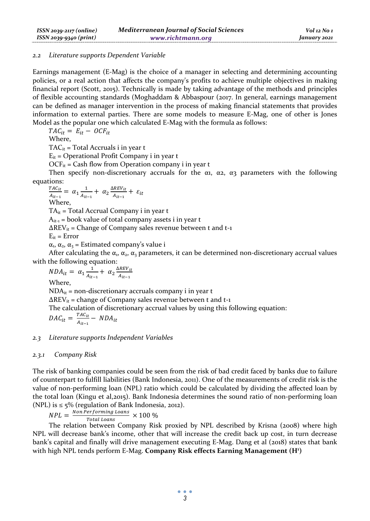#### *2.2 Literature supports Dependent Variable*

Earnings management (E-Mag) is the choice of a manager in selecting and determining accounting policies, or a real action that affects the company's profits to achieve multiple objectives in making financial report (Scott, 2015). Technically is made by taking advantage of the methods and principles of flexible accounting standards (Moghaddam & Abbaspour (2017. In general, earnings management can be defined as manager intervention in the process of making financial statements that provides information to external parties. There are some models to measure E-Mag, one of other is Jones Model as the popular one which calculated E-Mag with the formula as follows:

 $TAC_{it} = E_{it} - OCF_{it}$ 

Where,

 $TAC_{it}$  = Total Accruals i in year t

 $E_{it}$  = Operational Profit Company i in year t

 $OCF_{it}$  = Cash flow from Operation company i in year t

Then specify non-discretionary accruals for the  $\alpha_1$ ,  $\alpha_2$ ,  $\alpha_3$  parameters with the following equations:

$$
\frac{r_{AC_{it}}}{A_{it-1}} = \alpha_1 \frac{1}{A_{it-1}} + \alpha_2 \frac{\Delta REV_{it}}{A_{it-1}} + \varepsilon_{it}
$$
  
Where,

 $TA_{it}$  = Total Accrual Company i in year t

 $A_{it-1}$  = book value of total company assets i in year t

 $\Delta$ REV<sub>it</sub> = Change of Company sales revenue between t and t-1

 $E_{ir} = Error$ 

 $\alpha_1$ ,  $\alpha_2$ ,  $\alpha_3$  = Estimated company's value i

After calculating the  $\alpha_1, \alpha_2, \alpha_3$  parameters, it can be determined non-discretionary accrual values with the following equation:

 $NDA_{it} = \alpha_1 \frac{1}{4\pi}$  $rac{1}{A_{it-1}} + \alpha_2 \frac{\Delta REV_{it}}{A_{it-1}}$  $rac{r_t}{A_{it-1}}$ Where,  $NDA_{it}$  = non-discretionary accruals company i in year t  $\Delta$ REV<sub>it</sub> = change of Company sales revenue between t and t-1 The calculation of discretionary accrual values by using this following equation:  $DAC_{it} = \frac{TAC_{it}}{A_{it-1}} - NDA_{it}$ 

#### *2.3 Literature supports Independent Variables*

#### *2.3.1 Company Risk*

The risk of banking companies could be seen from the risk of bad credit faced by banks due to failure of counterpart to fulfill liabilities (Bank Indonesia, 2011). One of the measurements of credit risk is the value of non-performing loan (NPL) ratio which could be calculated by dividing the affected loan by the total loan (Kingu et al,2015). Bank Indonesia determines the sound ratio of non-performing loan (NPL) is  $\leq$  5% (regulation of Bank Indonesia, 2012).

 $NPL = \frac{Non\,Performing\,Loans}{Total\,Loans} \times 100\,\%$ 

The relation between Company Risk proxied by NPL described by Krisna (2008) where high NPL will decrease bank's income, other that will increase the credit back up cost, in turn decrease bank's capital and finally will drive management executing E-Mag. Dang et al (2018) states that bank with high NPL tends perform E-Mag. **Company Risk effects Earning Management (H1 )**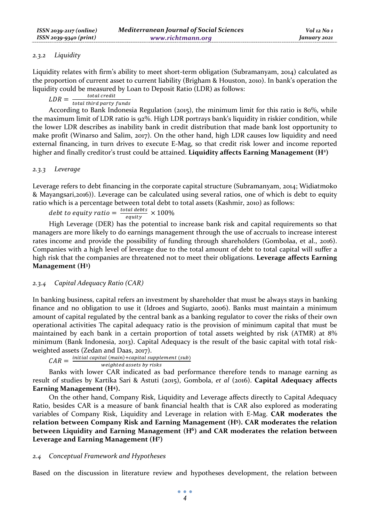### *2.3.2 Liquidity*

Liquidity relates with firm's ability to meet short-term obligation (Subramanyam, 2014) calculated as the proportion of current asset to current liability (Brigham & Houston, 2010). In bank's operation the liquidity could be measured by Loan to Deposit Ratio (LDR) as follows:

 $LDR = \frac{total\,credit}{total\,third\,party\, funds}$ 

According to Bank Indonesia Regulation (2015), the minimum limit for this ratio is 80%, while the maximum limit of LDR ratio is 92%. High LDR portrays bank's liquidity in riskier condition, while the lower LDR describes as inability bank in credit distribution that made bank lost opportunity to make profit (Winarso and Salim, 2017). On the other hand, high LDR causes low liquidity and need external financing, in turn drives to execute E-Mag, so that credit risk lower and income reported higher and finally creditor's trust could be attained. **Liquidity affects Earning Management (H2 )**

### *2.3.3 Leverage*

Leverage refers to debt financing in the corporate capital structure (Subramanyam, 2014; Widiatmoko & Mayangsari,2016)). Leverage can be calculated using several ratios, one of which is debt to equity ratio which is a percentage between total debt to total assets (Kashmir, 2010) as follows:

debt to equity ratio  $=\frac{total\, debts}{equity} \times 100\%$ 

High Leverage (DER) has the potential to increase bank risk and capital requirements so that managers are more likely to do earnings management through the use of accruals to increase interest rates income and provide the possibility of funding through shareholders (Gombolaa, et al., 2016). Companies with a high level of leverage due to the total amount of debt to total capital will suffer a high risk that the companies are threatened not to meet their obligations. **Leverage affects Earning Management (H3 )** 

### *2.3.4 Capital Adequacy Ratio (CAR)*

In banking business, capital refers an investment by shareholder that must be always stays in banking finance and no obligation to use it (Idroes and Sugiarto, 2006). Banks must maintain a minimum amount of capital regulated by the central bank as a banking regulator to cover the risks of their own operational activities The capital adequacy ratio is the provision of minimum capital that must be maintained by each bank in a certain proportion of total assets weighted by risk (ATMR) at 8% minimum (Bank Indonesia, 2013). Capital Adequacy is the result of the basic capital with total riskweighted assets (Zedan and Daas, 2017).

 $CAR = \frac{initial\;capital\;(main) + capital\;supplement\;(sub)}{weighted\;asserts\;by\;risks}$ 

Banks with lower CAR indicated as bad performance therefore tends to manage earning as result of studies by Kartika Sari & Astuti (2015), Gombola, *et al* (2016). **Capital Adequacy affects Earning Management (H4).** 

On the other hand, Company Risk, Liquidity and Leverage affects directly to Capital Adequacy Ratio, besides CAR is a measure of bank financial health that is CAR also explored as moderating variables of Company Risk, Liquidity and Leverage in relation with E-Mag. **CAR moderates the relation between Company Risk and Earning Management (H5 ). CAR moderates the relation**  between Liquidity and Earning Management (H<sup>6</sup>) and CAR moderates the relation between **Leverage and Earning Management (H7 )** 

### *2.4 Conceptual Framework and Hypotheses*

Based on the discussion in literature review and hypotheses development, the relation between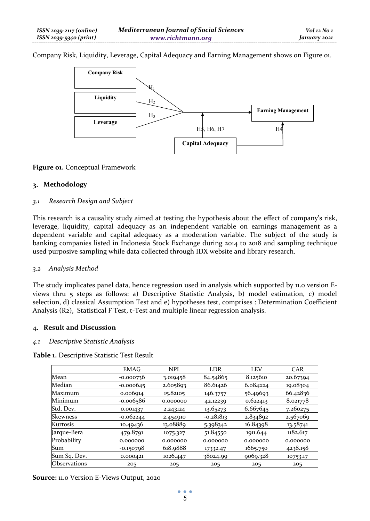Company Risk, Liquidity, Leverage, Capital Adequacy and Earning Management shows on Figure 01.



### **Figure 01.** Conceptual Framework

## **Methodology**

### *3.1 Research Design and Subject*

This research is a causality study aimed at testing the hypothesis about the effect of company's risk, leverage, liquidity, capital adequacy as an independent variable on earnings management as a dependent variable and capital adequacy as a moderation variable. The subject of the study is banking companies listed in Indonesia Stock Exchange during 2014 to 2018 and sampling technique used purposive sampling while data collected through IDX website and library research.

### *3.2 Analysis Method*

The study implicates panel data, hence regression used in analysis which supported by 11.0 version Eviews thru 5 steps as follows: a) Descriptive Statistic Analysis, b) model estimation, c) model selection, d) classical Assumption Test and e) hypotheses test, comprises : Determination Coefficient Analysis (R2), Statistical F Test, t-Test and multiple linear regression analysis.

### **Result and Discussion**

### *4.1 Descriptive Statistic Analysis*

**Table 1.** Descriptive Statistic Test Result

|                 | <b>EMAG</b> | <b>NPL</b> | LDR         | <b>LEV</b> | CAR      |
|-----------------|-------------|------------|-------------|------------|----------|
| Mean            | $-0.000736$ | 3.019458   | 84.54865    | 8.125610   | 20.67394 |
| Median          | $-0.000645$ | 2.605893   | 86.61426    | 6.084224   | 19.08304 |
| Maximum         | 0.006914    | 15.82105   | 146.3757    | 56.49693   | 66.42836 |
| Minimum         | $-0.006586$ | 0.000000   | 42.12239    | 0.622413   | 8.021778 |
| Std. Dev.       | 0.001437    | 2.243124   | 13.65273    | 6.667645   | 7.260275 |
| <b>Skewness</b> | $-0.062244$ | 2.454910   | $-0.281813$ | 2.834892   | 2.567069 |
| Kurtosis        | 10.49436    | 13.08889   | 5.398342    | 16.84398   | 13.58741 |
| Jarque-Bera     | 479.8791    | 1075.327   | 51.84550    | 1911.644   | 1182.617 |
| Probability     | 0.000000    | 0.000000   | 0.000000    | 0.000000   | 0.000000 |
| Sum             | $-0.150798$ | 618.9888   | 17332.47    | 1665.750   | 4238.158 |
| Sum Sq. Dev.    | 0.000421    | 1026.447   | 38024.99    | 9069.328   | 10753.17 |
| Observations    | 205         | 205        | 205         | 205        | 205      |

**Source:** 11.0 Version E-Views Output, 2020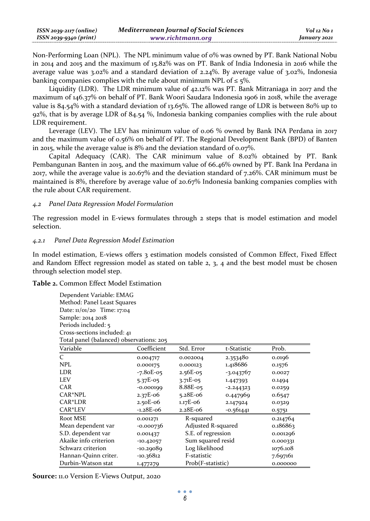Non-Performing Loan (NPL). The NPL minimum value of 0% was owned by PT. Bank National Nobu in 2014 and 2015 and the maximum of 15.82% was on PT. Bank of India Indonesia in 2016 while the average value was  $3.02\%$  and a standard deviation of 2.24%. By average value of  $3.02\%$ , Indonesia banking companies complies with the rule about minimum NPL of  $\leq$  5%.

Liquidity (LDR). The LDR minimum value of 42.12% was PT. Bank Mitraniaga in 2017 and the maximum of 146.37% on behalf of PT. Bank Woori Saudara Indonesia 1906 in 2018, while the average value is 84.54% with a standard deviation of 13.65%. The allowed range of LDR is between 80% up to 92%, that is by average LDR of 84.54 %, Indonesia banking companies complies with the rule about LDR requirement.

Leverage (LEV). The LEV has minimum value of 0.06 % owned by Bank INA Perdana in 2017 and the maximum value of 0.56% on behalf of PT. The Regional Development Bank (BPD) of Banten in 2015, while the average value is 8% and the deviation standard of 0.07%.

Capital Adequacy (CAR). The CAR minimum value of 8.02% obtained by PT. Bank Pembangunan Banten in 2015, and the maximum value of 66.46% owned by PT. Bank Ina Perdana in 2017, while the average value is 20.67% and the deviation standard of 7.26%. CAR minimum must be maintained is 8%, therefore by average value of 20.67% Indonesia banking companies complies with the rule about CAR requirement.

### *4.2 Panel Data Regression Model Formulation*

The regression model in E-views formulates through 2 steps that is model estimation and model selection.

#### *4.2.1 Panel Data Regression Model Estimation*

In model estimation, E-views offers 3 estimation models consisted of Common Effect, Fixed Effect and Random Effect regression model as stated on table 2, 3, 4 and the best model must be chosen through selection model step.

#### **Table 2.** Common Effect Model Estimation

| Dependent Variable: EMAG<br>Method: Panel Least Squares<br>Date: 11/01/20 Time: 17:04<br>Sample: 2014 2018<br>Periods included: 5<br>Cross-sections included: 41 |             |                    |             |          |
|------------------------------------------------------------------------------------------------------------------------------------------------------------------|-------------|--------------------|-------------|----------|
| Total panel (balanced) observations: 205<br>Variable                                                                                                             | Coefficient | Std. Error         | t-Statistic | Prob.    |
| $\mathcal{C}$                                                                                                                                                    | 0.004717    | 0.002004           | 2.353480    | 0.0196   |
| <b>NPL</b>                                                                                                                                                       | 0.000175    | 0.000123           | 1.418686    | 0.1576   |
| LDR.                                                                                                                                                             | $-7.80E-05$ | $2.56E-05$         | $-3.043767$ | 0.0027   |
| <b>LEV</b>                                                                                                                                                       | $5.37E-05$  | $3.71E-05$         | 1.447393    | 0.1494   |
| CAR                                                                                                                                                              | $-0.000199$ | $8.88E-05$         | $-2.244323$ | 0.0259   |
| CAR*NPL                                                                                                                                                          | $2.37E-06$  | $5.28E-06$         | 0.447969    | 0.6547   |
| CAR*LDR                                                                                                                                                          | $2.50E-06$  | $1.17E-06$         | 2.147924    | 0.0329   |
| CAR*LEV                                                                                                                                                          | $-1.28E-06$ | $2.28E-06$         | -0.561441   | 0.5751   |
| Root MSE                                                                                                                                                         | 0.001271    | R-squared          |             | 0.214764 |
| Mean dependent var                                                                                                                                               | $-0.000736$ | Adjusted R-squared |             | 0.186863 |
| S.D. dependent var                                                                                                                                               | 0.001437    | S.E. of regression |             | 0.001296 |
| Akaike info criterion                                                                                                                                            | $-10.42057$ | Sum squared resid  |             | 0.000331 |
| Schwarz criterion                                                                                                                                                | $-10.29089$ | Log likelihood     |             | 1076.108 |
| Hannan-Quinn criter.                                                                                                                                             | $-10.36812$ | F-statistic        |             | 7.697161 |
| Durbin-Watson stat                                                                                                                                               | 1.477279    | Prob(F-statistic)  |             | 0.000000 |

**Source:** 11.0 Version E-Views Output, 2020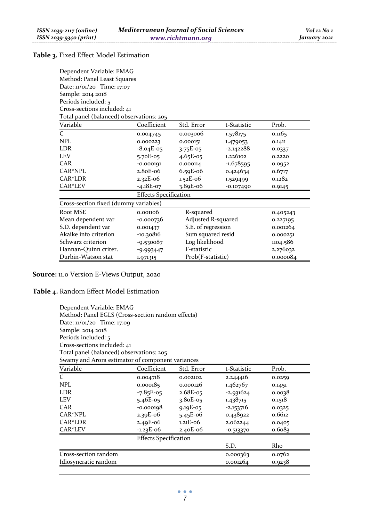# **Table 3.** Fixed Effect Model Estimation

| Dependent Variable: EMAG                 |  |  |  |  |
|------------------------------------------|--|--|--|--|
| Method: Panel Least Squares              |  |  |  |  |
| Date: 11/01/20 Time: 17:07               |  |  |  |  |
| Sample: 2014 2018                        |  |  |  |  |
| Periods included: 5                      |  |  |  |  |
| Cross-sections included: 41              |  |  |  |  |
| Total panel (balanced) observations: 205 |  |  |  |  |

| Variable                              | Coefficient                  | Std. Error         | t-Statistic | Prob.    |  |
|---------------------------------------|------------------------------|--------------------|-------------|----------|--|
| $\mathcal{C}_{\mathcal{C}}$           | 0.004745                     | 0.003006           | 1.578175    | 0.1165   |  |
| NPI.                                  | 0.000223                     | 0.000151           | 1.479053    | 0.1411   |  |
| LDR                                   | $-8.04E-05$                  | $3.75E-05$         | $-2.142288$ | 0.0337   |  |
| <b>LEV</b>                            | $5.70E-05$                   | $4.65E-05$         | 1.226102    | 0.2220   |  |
| CAR                                   | $-0.000191$                  | 0.000114           | $-1.678595$ | 0.0952   |  |
| CAR*NPL                               | 2.80E-06                     | $6.59E-06$         | 0.424634    | 0.6717   |  |
| CAR*LDR                               | $2.32E-06$                   | $1.52E-06$         | 1.529499    | 0.1282   |  |
| CAR*LEV                               | $-4.18E-07$                  | $3.89E-06$         | $-0.107490$ | 0.9145   |  |
|                                       | <b>Effects Specification</b> |                    |             |          |  |
| Cross-section fixed (dummy variables) |                              |                    |             |          |  |
| Root MSE                              | 0.001106                     | R-squared          |             | 0.405243 |  |
| Mean dependent var                    | $-0.000736$                  | Adjusted R-squared |             | 0.227195 |  |
| S.D. dependent var                    | 0.001437                     | S.E. of regression |             | 0.001264 |  |
| Akaike info criterion                 | $-10.30816$                  | Sum squared resid  |             | 0.000251 |  |
| Schwarz criterion                     | $-9.530087$                  | Log likelihood     |             | 1104.586 |  |
| Hannan-Quinn criter.                  | $-9.993447$                  | F-statistic        |             | 2.276032 |  |
| Durbin-Watson stat                    | 1.971315                     | Prob(F-statistic)  |             | 0.000084 |  |

**Source:** 11.0 Version E-Views Output, 2020

# **Table 4.** Random Effect Model Estimation

| Dependent Variable: EMAG                          |                              |            |             |        |  |  |
|---------------------------------------------------|------------------------------|------------|-------------|--------|--|--|
| Method: Panel EGLS (Cross-section random effects) |                              |            |             |        |  |  |
| Date: $11/01/20$ Time: 17:09                      |                              |            |             |        |  |  |
| Sample: 2014 2018                                 |                              |            |             |        |  |  |
| Periods included: 5                               |                              |            |             |        |  |  |
| Cross-sections included: 41                       |                              |            |             |        |  |  |
| Total panel (balanced) observations: 205          |                              |            |             |        |  |  |
| Swamy and Arora estimator of component variances  |                              |            |             |        |  |  |
| Variable                                          | Coefficient                  | Std. Error | t-Statistic | Prob.  |  |  |
| $\mathcal{C}_{\mathcal{C}}$                       | 0.004718                     | 0.002102   | 2.244416    | 0.0259 |  |  |
| NPL                                               | 0.000185                     | 0.000126   | 1.462767    | 0.1451 |  |  |
| LDR                                               | $-7.85E-05$                  | $2.68E-05$ | $-2.931624$ | 0.0038 |  |  |
| <b>LEV</b>                                        | $5.46E-05$                   | $3.80E-05$ | 1.438715    | 0.1518 |  |  |
| CAR                                               | $-0.000198$                  | $9.19E-05$ | $-2.153716$ | 0.0325 |  |  |
| $CAR*NPL$                                         | $2.39E-06$                   | $5.45E-06$ | 0.438922    | 0.6612 |  |  |
| CAR*LDR                                           | $2.49E-06$                   | $1.21E-06$ | 2.062244    | 0.0405 |  |  |
| CAR*LEV                                           | $-1.23E-06$                  | $2.40E-06$ | $-0.513370$ | 0.6083 |  |  |
|                                                   | <b>Effects Specification</b> |            |             |        |  |  |
|                                                   |                              |            | S.D.        | Rho    |  |  |
| Cross-section random                              |                              |            | 0.000363    | 0.0762 |  |  |
| Idiosyncratic random                              |                              |            | 0.001264    | 0.9238 |  |  |

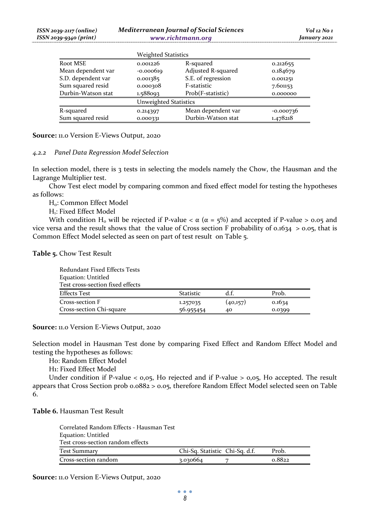|                    | <b>Weighted Statistics</b> |                    |             |
|--------------------|----------------------------|--------------------|-------------|
| Root MSE           | 0.001226                   | R-squared          | 0.212655    |
| Mean dependent var | $-0.000619$                | Adjusted R-squared | 0.184679    |
| S.D. dependent var | 0.001385                   | S.E. of regression | 0.001251    |
| Sum squared resid  | 0.000308                   | F-statistic        | 7.601153    |
| Durbin-Watson stat | 1.588093                   | Prob(F-statistic)  | 0.000000    |
|                    | Unweighted Statistics      |                    |             |
| R-squared          | 0.214397                   | Mean dependent var | $-0.000736$ |
| Sum squared resid  | 0.000331                   | Durbin-Watson stat | 1.478218    |

**Source:** 11.0 Version E-Views Output, 2020

#### *4.2.2 Panel Data Regression Model Selection*

In selection model, there is 3 tests in selecting the models namely the Chow, the Hausman and the Lagrange Multiplier test.

Chow Test elect model by comparing common and fixed effect model for testing the hypotheses as follows:

H<sub>0</sub>: Common Effect Model

H<sub>1</sub>: Fixed Effect Model

With condition H<sub>0</sub> will be rejected if P-value  $\lt \alpha$  ( $\alpha$  = 5%) and accepted if P-value  $\gt$  0.05 and vice versa and the result shows that the value of Cross section F probability of 0.1634  $>$  0.05, that is Common Effect Model selected as seen on part of test result on Table 5.

### **Table 5.** Chow Test Result

| Redundant Fixed Effects Tests    |                  |          |        |
|----------------------------------|------------------|----------|--------|
| Equation: Untitled               |                  |          |        |
| Test cross-section fixed effects |                  |          |        |
| <b>Effects Test</b>              | <b>Statistic</b> | d.f.     | Prob.  |
| Cross-section F                  | 1.257035         | (40,157) | 0.1634 |
| Cross-section Chi-square         | 56.955454        | 40       | 0.0399 |

**Source:** 11.0 Version E-Views Output, 2020

Selection model in Hausman Test done by comparing Fixed Effect and Random Effect Model and testing the hypotheses as follows:

H0: Random Effect Model

H1: Fixed Effect Model

Under condition if P-value  $\lt o$ ,  $o$ <sub>5</sub>, Ho rejected and if P-value  $>$   $o$ ,  $o$ <sub>5</sub>, Ho accepted. The result appears that Cross Section prob 0.0882 > 0.05, therefore Random Effect Model selected seen on Table 6.

### **Table 6.** Hausman Test Result

| Correlated Random Effects - Hausman Test |                                |        |
|------------------------------------------|--------------------------------|--------|
| Equation: Untitled                       |                                |        |
| Test cross-section random effects        |                                |        |
| Test Summary                             | Chi-Sq. Statistic Chi-Sq. d.f. | Prob.  |
| Cross-section random                     | 3.030664                       | 0.8822 |

**Source:** 11.0 Version E-Views Output, 2020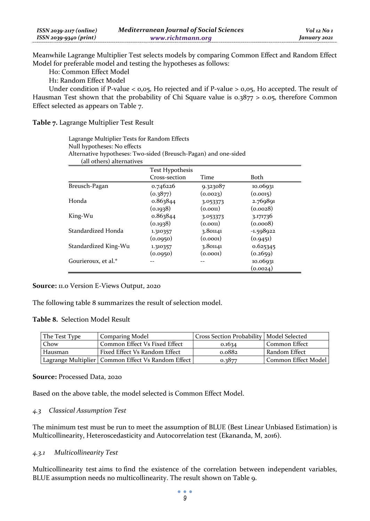| $ISSN 2039-2117 (online)$ | <b>Mediterranean Journal of Social Sciences</b> | $Vol$ 12 No 1 |
|---------------------------|-------------------------------------------------|---------------|
| $ISSN 2039-9340 (print)$  | www.richtmann.org                               | January 2021  |

Meanwhile Lagrange Multiplier Test selects models by comparing Common Effect and Random Effect Model for preferable model and testing the hypotheses as follows:

H0: Common Effect Model

H1: Random Effect Model

Under condition if P-value  $<$  0,05, Ho rejected and if P-value  $>$  0,05, Ho accepted. The result of Hausman Test shown that the probability of Chi Square value is 0.3877 > 0.05, therefore Common Effect selected as appears on Table 7.

**Table 7.** Lagrange Multiplier Test Result

Lagrange Multiplier Tests for Random Effects Null hypotheses: No effects Alternative hypotheses: Two-sided (Breusch-Pagan) and one-sided (all others) alternatives

|                      | <b>Test Hypothesis</b> |          |             |  |
|----------------------|------------------------|----------|-------------|--|
|                      | Cross-section          | Time     | Both        |  |
| Breusch-Pagan        | 0.746226               | 9.323087 | 10.06931    |  |
|                      | (0.3877)               | (0.0023) | (0.0015)    |  |
| Honda                | 0.863844               | 3.053373 | 2.769891    |  |
|                      | (0.1938)               | (0.0011) | (0.0028)    |  |
| King-Wu              | 0.863844               | 3.053373 | 3.171736    |  |
|                      | (0.1938)               | (0.0011) | (0.0008)    |  |
| Standardized Honda   | 1.310357               | 3.801141 | $-1.598922$ |  |
|                      | (0.0950)               | (0.0001) | (0.9451)    |  |
| Standardized King-Wu | 1.310357               | 3.801141 | 0.625345    |  |
|                      | (0.0950)               | (0.0001) | (0.2659)    |  |
| Gourieroux, et al.*  |                        |          | 10.06931    |  |
|                      |                        |          | (0.0024)    |  |

**Source:** 11.0 Version E-Views Output, 2020

The following table 8 summarizes the result of selection model.

#### **Table 8.** Selection Model Result

| The Test Type | <b>Comparing Model</b>                               | Cross Section Probability   Model Selected |                     |
|---------------|------------------------------------------------------|--------------------------------------------|---------------------|
| Chow          | Common Effect Vs Fixed Effect                        | 0.1634                                     | Common Effect       |
| Hausman       | Fixed Effect Vs Random Effect                        | 0.0882                                     | Random Effect       |
|               | Lagrange Multiplier   Common Effect Vs Random Effect | 0.3877                                     | Common Effect Model |

#### **Source:** Processed Data, 2020

Based on the above table, the model selected is Common Effect Model.

### *4.3 Classical Assumption Test*

The minimum test must be run to meet the assumption of BLUE (Best Linear Unbiased Estimation) is Multicollinearity, Heteroscedasticity and Autocorrelation test (Ekananda, M, 2016).

#### *4.3.1 Multicollinearity Test*

Multicollinearity test aims to find the existence of the correlation between independent variables, BLUE assumption needs no multicollinearity. The result shown on Table 9.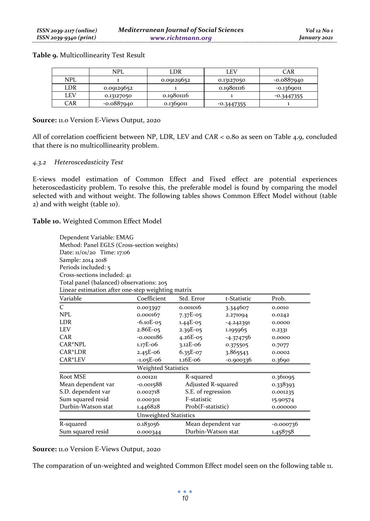**Table 9.** Multicollinearity Test Result

|            | <b>NPL</b>   | LDR        | LEV          | CAR          |
|------------|--------------|------------|--------------|--------------|
| <b>NPL</b> |              | 0.09129652 | 0.13127050   | -0.0887940   |
| LDR        | 0.09129652   |            | 0.19801116   | $-0.1369011$ |
| LEV        | 0.13127050   | 0.10801116 |              | $-0.3447355$ |
| CAR        | $-0.0887940$ | 0.1369011  | $-0.3447355$ |              |

#### **Source:** 11.0 Version E-Views Output, 2020

All of correlation coefficient between NP, LDR, LEV and CAR < 0.80 as seen on Table 4.9, concluded that there is no multicollinearity problem.

#### *4.3.2 Heteroscedasticity Test*

E-views model estimation of Common Effect and Fixed effect are potential experiences heteroscedasticity problem. To resolve this, the preferable model is found by comparing the model selected with and without weight. The following tables shows Common Effect Model without (table 2) and with weight (table 10).

**Table 10.** Weighted Common Effect Model

| Dependent Variable: EMAG<br>Method: Panel EGLS (Cross-section weights)<br>Date: 11/01/20 Time: 17:06<br>Sample: 2014 2018<br>Periods included: 5<br>Cross-sections included: 41<br>Total panel (balanced) observations: 205<br>Linear estimation after one-step weighting matrix |                              |                                   |             |          |
|----------------------------------------------------------------------------------------------------------------------------------------------------------------------------------------------------------------------------------------------------------------------------------|------------------------------|-----------------------------------|-------------|----------|
| Variable                                                                                                                                                                                                                                                                         | Coefficient                  | Std. Error                        | t-Statistic | Prob.    |
| $\mathcal{C}_{\mathcal{C}}$                                                                                                                                                                                                                                                      | 0.003397                     | 0.001016                          | 3.344607    | 0.0010   |
| NPL                                                                                                                                                                                                                                                                              | 0.000167                     | $7.37E-05$                        | 2.271094    | 0.0242   |
| <b>LDR</b>                                                                                                                                                                                                                                                                       | $-6.10E-05$                  | $1.44E-05$                        | $-4.242391$ | 0.0000   |
| <b>LEV</b>                                                                                                                                                                                                                                                                       | $2.86E-05$                   | 2.39E-05                          | 1.195965    | 0.2331   |
| CAR                                                                                                                                                                                                                                                                              | $-0.000186$                  | $4.26E-05$                        | $-4.374756$ | 0.0000   |
| $CAR*NPL$                                                                                                                                                                                                                                                                        | $1.17E - 06$                 | $3.12E-06$                        | 0.375505    | 0.7077   |
| CAR*LDR                                                                                                                                                                                                                                                                          | $2.45E-06$                   | $6.35E-07$                        | 3.865543    | 0.0002   |
| CAR*LEV                                                                                                                                                                                                                                                                          | $-1.05E-06$                  | $1.16E-06$                        | $-0.900336$ | 0.3690   |
|                                                                                                                                                                                                                                                                                  | <b>Weighted Statistics</b>   |                                   |             |          |
| Root MSE                                                                                                                                                                                                                                                                         | 0.001211                     | R-squared                         |             | 0.361095 |
| Mean dependent var                                                                                                                                                                                                                                                               | $-0.001588$                  | Adjusted R-squared                |             | 0.338393 |
| S.D. dependent var                                                                                                                                                                                                                                                               | 0.002718                     | S.E. of regression                |             | 0.001235 |
| Sum squared resid                                                                                                                                                                                                                                                                | 0.000301                     | F-statistic                       |             | 15.90574 |
| Durbin-Watson stat                                                                                                                                                                                                                                                               | 1.446828                     | Prob(F-statistic)<br>0.000000     |             |          |
|                                                                                                                                                                                                                                                                                  | <b>Unweighted Statistics</b> |                                   |             |          |
| R-squared                                                                                                                                                                                                                                                                        | 0.183056                     | Mean dependent var<br>$-0.000736$ |             |          |
| Sum squared resid                                                                                                                                                                                                                                                                | 0.000344                     | Durbin-Watson stat                |             | 1.458758 |

**Source:** 11.0 Version E-Views Output, 2020

The comparation of un-weighted and weighted Common Effect model seen on the following table 11.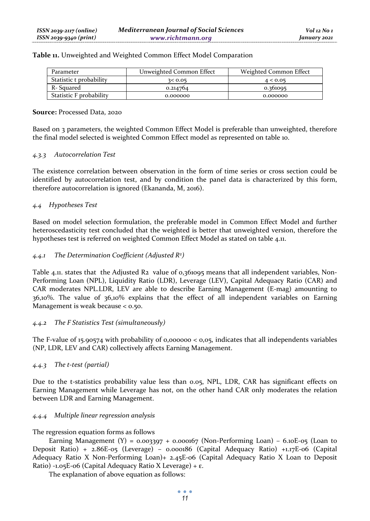| Table 11. Unweighted and Weighted Common Effect Model Comparation |  |  |
|-------------------------------------------------------------------|--|--|
|                                                                   |  |  |

| Parameter               | Unweighted Common Effect | Weighted Common Effect |
|-------------------------|--------------------------|------------------------|
| Statistic t probability | 3 < 0.05                 | 4 < 0.05               |
| R- Squared              | 0.214764                 | 0.361005               |
| Statistic F probability | 0.000000                 | 0.000000               |

#### **Source:** Processed Data, 2020

Based on 3 parameters, the weighted Common Effect Model is preferable than unweighted, therefore the final model selected is weighted Common Effect model as represented on table 10.

### *4.3.3 Autocorrelation Test*

The existence correlation between observation in the form of time series or cross section could be identified by autocorrelation test, and by condition the panel data is characterized by this form, therefore autocorrelation is ignored (Ekananda, M, 2016).

#### *4.4 Hypotheses Test*

Based on model selection formulation, the preferable model in Common Effect Model and further heteroscedasticity test concluded that the weighted is better that unweighted version, therefore the hypotheses test is referred on weighted Common Effect Model as stated on table 4.11.

#### *4.4.1 The Determination Coefficient (Adjusted R2 )*

Table 4.11. states that the Adjusted R2 value of 0,361095 means that all independent variables, Non-Performing Loan (NPL), Liquidity Ratio (LDR), Leverage (LEV), Capital Adequacy Ratio (CAR) and CAR moderates NPL.LDR, LEV are able to describe Earning Management (E-mag) amounting to 36,10%. The value of 36,10% explains that the effect of all independent variables on Earning Management is weak because < 0.50.

#### *4.4.2 The F Statistics Test (simultaneously)*

The F-value of 15.90574 with probability of 0,000000  $< 0.05$ , indicates that all independents variables (NP, LDR, LEV and CAR) collectively affects Earning Management.

#### *4.4.3 The t-test (partial)*

Due to the t-statistics probability value less than 0.05, NPL, LDR, CAR has significant effects on Earning Management while Leverage has not, on the other hand CAR only moderates the relation between LDR and Earning Management.

#### *4.4.4 Multiple linear regression analysis*

The regression equation forms as follows

Earning Management (Y) =  $0.003397 + 0.000167$  (Non-Performing Loan) -  $6.10E-05$  (Loan to Deposit Ratio) + 2.86E-05 (Leverage) – 0.000186 (Capital Adequacy Ratio) +1.17E-06 (Capital Adequacy Ratio X Non-Performing Loan)+ 2.45E-06 (Capital Adequacy Ratio X Loan to Deposit Ratio) -1.05E-06 (Capital Adequacy Ratio X Leverage) + ε.

The explanation of above equation as follows: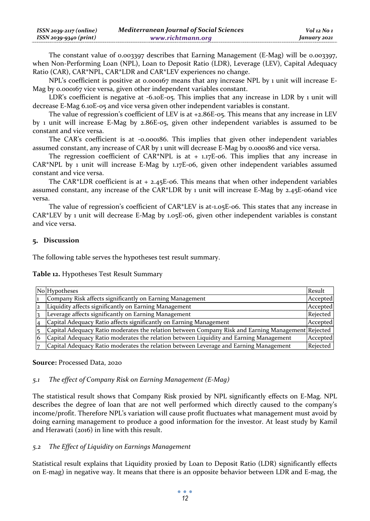| ISSN 2039-2117 (online) | <b>Mediterranean Journal of Social Sciences</b> | Vol 12 No 1  |
|-------------------------|-------------------------------------------------|--------------|
| ISSN 2039-9340 (print)  | www.richtmann.org                               | January 2021 |

The constant value of 0.003397 describes that Earning Management (E-Mag) will be 0.003397, when Non-Performing Loan (NPL), Loan to Deposit Ratio (LDR), Leverage (LEV), Capital Adequacy Ratio (CAR), CAR\*NPL, CAR\*LDR and CAR\*LEV experiences no change.

NPL's coefficient is positive at 0.000167 means that any increase NPL by 1 unit will increase E-Mag by 0.000167 vice versa, given other independent variables constant.

LDR's coefficient is negative at -6.10E-05. This implies that any increase in LDR by 1 unit will decrease E-Mag 6.10E-05 and vice versa given other independent variables is constant.

The value of regression's coefficient of LEV is at  $+2.86E-05$ . This means that any increase in LEV by 1 unit will increase E-Mag by 2.86E-05, given other independent variables is assumed to be constant and vice versa.

The CAR's coefficient is at -0.000186. This implies that given other independent variables assumed constant, any increase of CAR by 1 unit will decrease E-Mag by 0.000186 and vice versa.

The regression coefficient of CAR\*NPL is at + 1.17E-06. This implies that any increase in CAR\*NPL by 1 unit will increase E-Mag by 1.17E-06, given other independent variables assumed constant and vice versa.

The CAR\*LDR coefficient is at  $+2.45E-06$ . This means that when other independent variables assumed constant, any increase of the CAR\*LDR by 1 unit will increase E-Mag by 2.45E-06and vice versa.

The value of regression's coefficient of CAR\*LEV is at-1.05E-06. This states that any increase in CAR\*LEV by 1 unit will decrease E-Mag by 1.05E-06, given other independent variables is constant and vice versa.

#### **Discussion**

The following table serves the hypotheses test result summary.

**Table 12.** Hypotheses Test Result Summary

| No Hypotheses                                                                                      | Result   |
|----------------------------------------------------------------------------------------------------|----------|
| Company Risk affects significantly on Earning Management                                           | Accepted |
| Liquidity affects significantly on Earning Management                                              | Accepted |
| Leverage affects significantly on Earning Management                                               | Rejected |
| Capital Adequacy Ratio affects significantly on Earning Management                                 | Accepted |
| Capital Adequacy Ratio moderates the relation between Company Risk and Earning Management Rejected |          |
| Capital Adequacy Ratio moderates the relation between Liquidity and Earning Management             | Accepted |
| Capital Adequacy Ratio moderates the relation between Leverage and Earning Management              | Rejected |

#### **Source:** Processed Data, 2020

#### *5.1 The effect of Company Risk on Earning Management (E-Mag)*

The statistical result shows that Company Risk proxied by NPL significantly effects on E-Mag. NPL describes the degree of loan that are not well performed which directly caused to the company's income/profit. Therefore NPL's variation will cause profit fluctuates what management must avoid by doing earning management to produce a good information for the investor. At least study by Kamil and Herawati (2016) in line with this result.

### *5.2 The Effect of Liquidity on Earnings Management*

Statistical result explains that Liquidity proxied by Loan to Deposit Ratio (LDR) significantly effects on E-mag) in negative way. It means that there is an opposite behavior between LDR and E-mag, the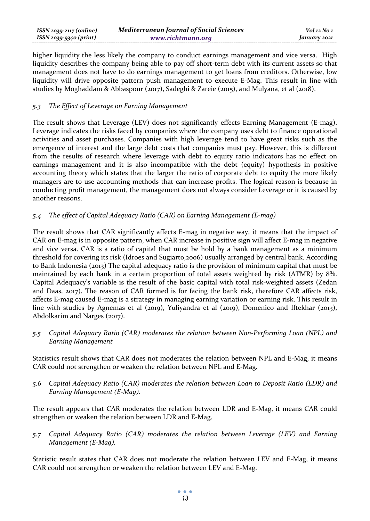| $ISSN 2039-2117 (online)$ | <b>Mediterranean Journal of Social Sciences</b> | Vol 12 No 1  |
|---------------------------|-------------------------------------------------|--------------|
| ISSN 2039-9340 (print)    | www.richtmann.org                               | January 2021 |

higher liquidity the less likely the company to conduct earnings management and vice versa. High liquidity describes the company being able to pay off short-term debt with its current assets so that management does not have to do earnings management to get loans from creditors. Otherwise, low liquidity will drive opposite pattern push management to execute E-Mag. This result in line with studies by Moghaddam & Abbaspour (2017), Sadeghi & Zareie (2015), and Mulyana, et al (2018).

### *5.3 The Effect of Leverage on Earning Management*

The result shows that Leverage (LEV) does not significantly effects Earning Management (E-mag). Leverage indicates the risks faced by companies where the company uses debt to finance operational activities and asset purchases. Companies with high leverage tend to have great risks such as the emergence of interest and the large debt costs that companies must pay. However, this is different from the results of research where leverage with debt to equity ratio indicators has no effect on earnings management and it is also incompatible with the debt (equity) hypothesis in positive accounting theory which states that the larger the ratio of corporate debt to equity the more likely managers are to use accounting methods that can increase profits. The logical reason is because in conducting profit management, the management does not always consider Leverage or it is caused by another reasons.

### *5.4 The effect of Capital Adequacy Ratio (CAR) on Earning Management (E-mag)*

The result shows that CAR significantly affects E-mag in negative way, it means that the impact of CAR on E-mag is in opposite pattern, when CAR increase in positive sign will affect E-mag in negative and vice versa. CAR is a ratio of capital that must be hold by a bank management as a minimum threshold for covering its risk (Idroes and Sugiarto,2006) usually arranged by central bank. According to Bank Indonesia (2013) The capital adequacy ratio is the provision of minimum capital that must be maintained by each bank in a certain proportion of total assets weighted by risk (ATMR) by 8%. Capital Adequacy's variable is the result of the basic capital with total risk-weighted assets (Zedan and Daas, 2017). The reason of CAR formed is for facing the bank risk, therefore CAR affects risk, affects E-mag caused E-mag is a strategy in managing earning variation or earning risk. This result in line with studies by Agnemas et al (2019), Yuliyandra et al (2019), Domenico and Iftekhar (2013), Abdolkarim and Narges (2017).

*5.5 Capital Adequacy Ratio (CAR) moderates the relation between Non-Performing Loan (NPL) and Earning Management* 

Statistics result shows that CAR does not moderates the relation between NPL and E-Mag, it means CAR could not strengthen or weaken the relation between NPL and E-Mag.

*5.6 Capital Adequacy Ratio (CAR) moderates the relation between Loan to Deposit Ratio (LDR) and Earning Management (E-Mag).* 

The result appears that CAR moderates the relation between LDR and E-Mag, it means CAR could strengthen or weaken the relation between LDR and E-Mag.

*5.7 Capital Adequacy Ratio (CAR) moderates the relation between Leverage (LEV) and Earning Management (E-Mag).* 

Statistic result states that CAR does not moderate the relation between LEV and E-Mag, it means CAR could not strengthen or weaken the relation between LEV and E-Mag.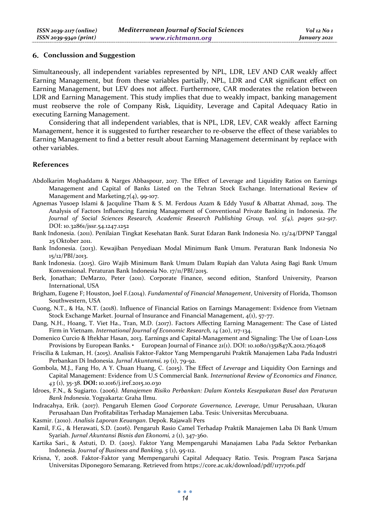#### **Conclussion and Suggestion**

Simultaneously, all independent variables represented by NPL, LDR, LEV AND CAR weakly affect Earning Management, but from these variables partially, NPL, LDR and CAR significant effect on Earning Management, but LEV does not affect. Furthermore, CAR moderates the relation between LDR and Earning Management. This study implies that due to weakly impact, banking management must reobserve the role of Company Risk, Liquidity, Leverage and Capital Adequacy Ratio in executing Earning Management.

Considering that all independent variables, that is NPL, LDR, LEV, CAR weakly affect Earning Management, hence it is suggested to further researcher to re-observe the effect of these variables to Earning Management to find a better result about Earning Management determinant by replace with other variables.

#### **References**

- Abdolkarim Moghaddam1 & Narges Abbaspour, 2017. The Effect of Leverage and Liquidity Ratios on Earnings Management and Capital of Banks Listed on the Tehran Stock Exchange. International Review of Management and Marketing, 7(4), 99-107.
- Agnemas Yusoep Islami & Jacquline Tham & S. M. Ferdous Azam & Eddy Yusuf & Albattat Ahmad, 2019. The Analysis of Factors Influencing Earning Management of Conventional Private Banking in Indonesia. *The Journal of Social Sciences Research, Academic Research Publishing Group, vol. 5(4), pages 912-917*. DOI: 10.32861/jssr.54.1247.1252
- Bank Indonesia. (2011). Penilaian Tingkat Kesehatan Bank. Surat Edaran Bank Indonesia No. 13/24/DPNP Tanggal 25 Oktober 2011.
- Bank Indonesia. (2013). Kewajiban Penyediaan Modal Minimum Bank Umum. Peraturan Bank Indonesia No 15/12/PBI/2013.
- Bank Indonesia. (2015). Giro Wajib Minimum Bank Umum Dalam Rupiah dan Valuta Asing Bagi Bank Umum Konvensional. Peraturan Bank Indonesia No. 17/11/PBI/2015.
- Berk, Jonathan; DeMarzo, Peter (2011). Corporate Finance, second edition, Stanford University, Pearson International, USA
- Brigham, Eugene F; Houston, Joel F.(2014). *Fundamental of Financial Management*, University of Florida, Thomson Southwestern, USA
- Cuong, N.T., & Ha, N.T. (2018). Influence of Financial Ratios on Earnings Management: Evidence from Vietnam Stock Exchange Market. Journal of Insurance and Financial Management, 4(1), 57-77.
- Dang, N.H., Hoang, T. Viet Ha., Tran, M.D. (2017). Factors Affecting Earning Management: The Case of Listed Firm in Vietnam. *International Journal of Economic Research, 14* (20), 117-134.
- Domenico Curcio & Iftekhar Hasan, 2013. Earnings and Capital-Management and Signaling: The Use of Loan-Loss Provisions by European Banks. • European Journal of Finance 21(1). DOI: 10.1080/1351847X.2012.762408
- Friscilia & Lukman, H. (2015). Analisis Faktor-Faktor Yang Mempengaruhi Praktik Manajemen Laba Pada Industri Perbankan Di Indonesia. *Jurnal Akuntansi, 19* (1), 79-92.
- Gombola, M.J., Fang Ho, A Y. Chuan Huang, C. (2015). The Effect of *Leverage* and Liquidity Oon Earnings and Capital Management: Evidence from U.S Commercial Bank. *International Review of Economics and Finance, 43* (1), 35-38. **DOI:** 10.1016/j.iref.2015.10.030
- Idroes, F.N., & Sugiarto. (2006*). Manajemen Risiko Perbankan: Dalam Konteks Kesepakatan Basel dan Peraturan Bank Indonesia*. Yogyakarta: Graha Ilmu.
- Indracahya, Erik. (2017). Pengaruh Elemen *Good Corporate Governance, Leverage*, Umur Perusahaan, Ukuran Perusahaan Dan Profitabilitas Terhadap Manajemen Laba. Tesis: Universitas Mercubuana.
- Kasmir. (2010). *Analisis Laporan Keuangan*. Depok. Rajawali Pers
- Kamil, F.G., & Herawati, S.D. (2016). Pengaruh Rasio Camel Terhadap Praktik Manajemen Laba Di Bank Umum Syariah. *Jurnal Akuntansi Bisnis dan Ekonomi, 2* (1), 347-360.
- Kartika Sari., & Astuti, D. D. (2015). Faktor Yang Mempengaruhi Manajamen Laba Pada Sektor Perbankan Indonesia. *Journal of Business and Banking, 5* (1), 95-112.
- Krisna, Y, 2008. Faktor-Faktor yang Mempengaruhi Capital Adequacy Ratio. Tesis. Program Pasca Sarjana Universitas Diponegoro Semarang. Retrieved from https://core.ac.uk/download/pdf/11717061.pdf